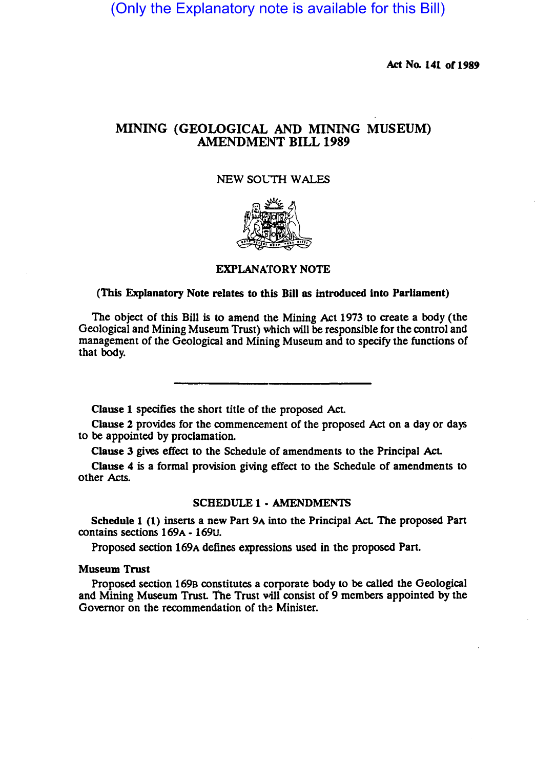(Only the Explanatory note is available for this Bill)

Act No. 141 of 1989

# MINING (GEOLOGICAL AND MINING MUSEUM) AMENDMENT BILL 1989

# NEW SOLTH WALES



### EXPLANATORY NOTE

### (This Explanatory Note relates to this Bill as introduced into Parliament)

The Object of this Bill is to amend the Mining Act 1973 to create a body (the Geological and Mining Museum Trust) which will be responsible for the control and management of the Geological and Mining Museum and to specify the functions of that body.

Clause 1 specifies the short title of the proposed Act.

Clause 2 provides for the commencement of the proposed Act on a day or days to be appointed by proclamation.

Clause 3 gives effect to the Schedule of amendments to the Principal Act

Clause 4 is a formal provision giving effect to the Schedule of amendments to other Acts.

### SCHEDULE 1· AMENDMENTS

Schedule 1 (1) inserts a new Part 9A into the Principal Act The proposed Part contains sections 169A - 169U.

Proposed section 169A defines expressions used in the proposed Part.

### Museum Trust

Proposed section 169a constitutes a corporate body to be called the Geological and Mining Museum Trust The Trust will consist of 9 members appointed by the Governor on the recommendation of the Minister.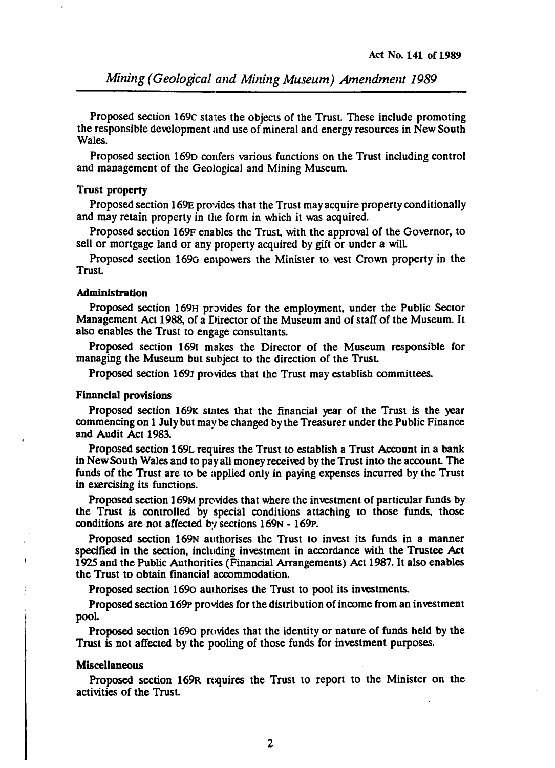Proposed section 169c states the objects of the Trust. These include promoting the responsible development and use of mineral and energy resources in New South Wales.

Proposed section 1690 confers various functions on the Trust including control and management of the Geological and Mining Museum.

#### Trust property

Proposed section 169E provides that the Trust may acquire property conditionally and may retain property in the form in which it was acquired.

Proposed section 169F enables the Trust, with the approval of the Governor, to sell or mortgage land or any property acquired by gift or under a will.

Proposed section 169G empowers the Minister to vest Crown property in the Trust.

### Administration

Proposed section 169H provides for the employment, under the Public Sector Management Act 1988, of a Director of the Museum and of staff of the Museum. It also enables the Trust to engage consultants.

Proposed section 1691 makes the Director of the Museum responsible for managing the Museum but subject to the direction of the Trust.

Proposed section 169J provides that the Trust may establish committees.

# Financial provisions

Proposed section 169K states that the financial year of the Trust is the year commencing on 1 July but maybe changed by the Treasurer under the Public Finance and Audit Act 1983.

Proposed section 169L requires the Trust to establish a Trust Account in a bank in New South Wales and to pay all money received by the Trust into the account. The funds of the Trust are to be applied only in paying expenses incurred by the Trust in exercising its functions.

Proposed section 169M provides that where the investment of particular funds by the Trust is controlled by special conditions attaching to those funds, those conditions are not affected by sections  $169N - 169P$ .

Proposed section 169N authorises the Trust to invest its funds in a manner specified in the section, including investment in accordance with the Trustee Act 1925 and the Public Authorities (Financial Arrangements) Act 1987. It also enables the Trust to obtain financial accommodation.

Proposed section 1690 authorises the Trust to pool its investments.

Proposed section 169P provides for the distribution of income from an investment pool.

Proposed section 1690 provides that the identity or nature of funds held by the Trust is not affected by the pooling of those funds for investment purposes.

#### Miscellaneous

Proposed section 169R requires the Trust to report to the Minister on the activities of the Trust.